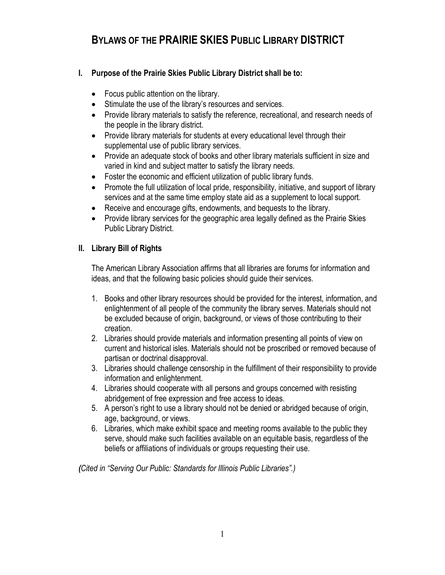# **BYLAWS OF THE PRAIRIE SKIES PUBLIC LIBRARY DISTRICT**

## **I. Purpose of the Prairie Skies Public Library District shall be to:**

- Focus public attention on the library.
- Stimulate the use of the library's resources and services.
- Provide library materials to satisfy the reference, recreational, and research needs of the people in the library district.
- Provide library materials for students at every educational level through their supplemental use of public library services.
- Provide an adequate stock of books and other library materials sufficient in size and varied in kind and subject matter to satisfy the library needs.
- Foster the economic and efficient utilization of public library funds.
- Promote the full utilization of local pride, responsibility, initiative, and support of library services and at the same time employ state aid as a supplement to local support.
- Receive and encourage gifts, endowments, and bequests to the library.
- Provide library services for the geographic area legally defined as the Prairie Skies Public Library District.

## **II. Library Bill of Rights**

The American Library Association affirms that all libraries are forums for information and ideas, and that the following basic policies should guide their services.

- 1. Books and other library resources should be provided for the interest, information, and enlightenment of all people of the community the library serves. Materials should not be excluded because of origin, background, or views of those contributing to their creation.
- 2. Libraries should provide materials and information presenting all points of view on current and historical isles. Materials should not be proscribed or removed because of partisan or doctrinal disapproval.
- 3. Libraries should challenge censorship in the fulfillment of their responsibility to provide information and enlightenment.
- 4. Libraries should cooperate with all persons and groups concerned with resisting abridgement of free expression and free access to ideas.
- 5. A person's right to use a library should not be denied or abridged because of origin, age, background, or views.
- 6. Libraries, which make exhibit space and meeting rooms available to the public they serve, should make such facilities available on an equitable basis, regardless of the beliefs or affiliations of individuals or groups requesting their use.

*(Cited in "Serving Our Public: Standards for Illinois Public Libraries".)*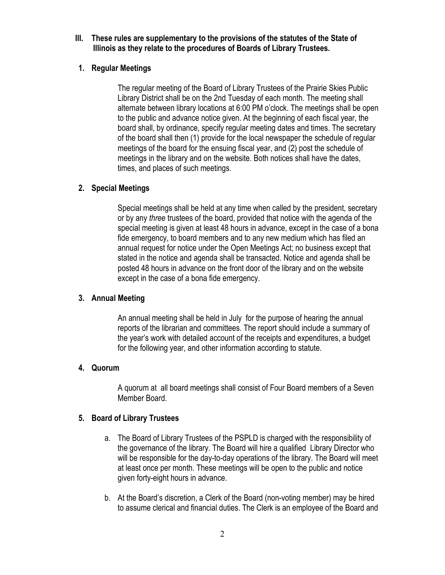#### **III. These rules are supplementary to the provisions of the statutes of the State of Illinois as they relate to the procedures of Boards of Library Trustees.**

## **1. Regular Meetings**

The regular meeting of the Board of Library Trustees of the Prairie Skies Public Library District shall be on the 2nd Tuesday of each month. The meeting shall alternate between library locations at 6:00 PM o'clock. The meetings shall be open to the public and advance notice given. At the beginning of each fiscal year, the board shall, by ordinance, specify regular meeting dates and times. The secretary of the board shall then (1) provide for the local newspaper the schedule of regular meetings of the board for the ensuing fiscal year, and (2) post the schedule of meetings in the library and on the website. Both notices shall have the dates, times, and places of such meetings.

## **2. Special Meetings**

Special meetings shall be held at any time when called by the president, secretary or by any *three* trustees of the board, provided that notice with the agenda of the special meeting is given at least 48 hours in advance, except in the case of a bona fide emergency, to board members and to any new medium which has filed an annual request for notice under the Open Meetings Act; no business except that stated in the notice and agenda shall be transacted. Notice and agenda shall be posted 48 hours in advance on the front door of the library and on the website except in the case of a bona fide emergency.

## **3. Annual Meeting**

An annual meeting shall be held in July for the purpose of hearing the annual reports of the librarian and committees. The report should include a summary of the year's work with detailed account of the receipts and expenditures, a budget for the following year, and other information according to statute.

## **4. Quorum**

A quorum at all board meetings shall consist of Four Board members of a Seven Member Board.

## **5. Board of Library Trustees**

- a. The Board of Library Trustees of the PSPLD is charged with the responsibility of the governance of the library. The Board will hire a qualified Library Director who will be responsible for the day-to-day operations of the library. The Board will meet at least once per month. These meetings will be open to the public and notice given forty-eight hours in advance.
- b. At the Board's discretion, a Clerk of the Board (non-voting member) may be hired to assume clerical and financial duties. The Clerk is an employee of the Board and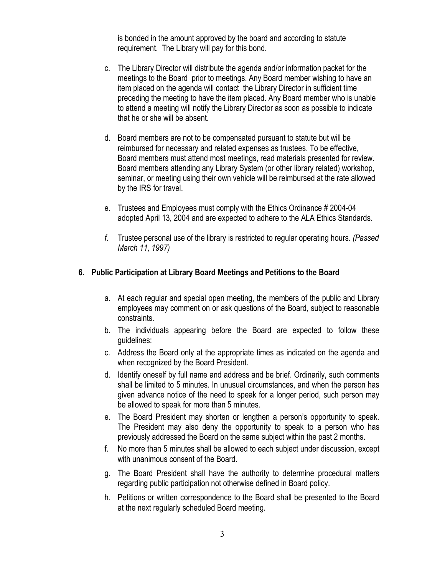is bonded in the amount approved by the board and according to statute requirement. The Library will pay for this bond.

- c. The Library Director will distribute the agenda and/or information packet for the meetings to the Board prior to meetings. Any Board member wishing to have an item placed on the agenda will contact the Library Director in sufficient time preceding the meeting to have the item placed. Any Board member who is unable to attend a meeting will notify the Library Director as soon as possible to indicate that he or she will be absent.
- d. Board members are not to be compensated pursuant to statute but will be reimbursed for necessary and related expenses as trustees. To be effective, Board members must attend most meetings, read materials presented for review. Board members attending any Library System (or other library related) workshop, seminar, or meeting using their own vehicle will be reimbursed at the rate allowed by the IRS for travel.
- e. Trustees and Employees must comply with the Ethics Ordinance # 2004-04 adopted April 13, 2004 and are expected to adhere to the ALA Ethics Standards.
- *f.* Trustee personal use of the library is restricted to regular operating hours. *(Passed March 11, 1997)*

#### **6. Public Participation at Library Board Meetings and Petitions to the Board**

- a. At each regular and special open meeting, the members of the public and Library employees may comment on or ask questions of the Board, subject to reasonable constraints.
- b. The individuals appearing before the Board are expected to follow these guidelines:
- c. Address the Board only at the appropriate times as indicated on the agenda and when recognized by the Board President.
- d. Identify oneself by full name and address and be brief. Ordinarily, such comments shall be limited to 5 minutes. In unusual circumstances, and when the person has given advance notice of the need to speak for a longer period, such person may be allowed to speak for more than 5 minutes.
- e. The Board President may shorten or lengthen a person's opportunity to speak. The President may also deny the opportunity to speak to a person who has previously addressed the Board on the same subject within the past 2 months.
- f. No more than 5 minutes shall be allowed to each subject under discussion, except with unanimous consent of the Board.
- g. The Board President shall have the authority to determine procedural matters regarding public participation not otherwise defined in Board policy.
- h. Petitions or written correspondence to the Board shall be presented to the Board at the next regularly scheduled Board meeting.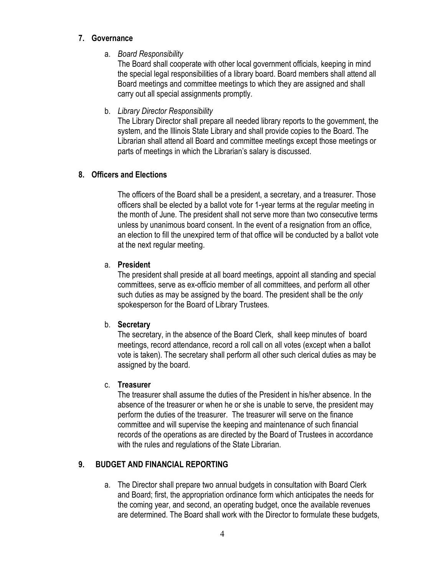#### **7. Governance**

a. *Board Responsibility*

The Board shall cooperate with other local government officials, keeping in mind the special legal responsibilities of a library board. Board members shall attend all Board meetings and committee meetings to which they are assigned and shall carry out all special assignments promptly.

b. *Library Director Responsibility*

The Library Director shall prepare all needed library reports to the government, the system, and the Illinois State Library and shall provide copies to the Board. The Librarian shall attend all Board and committee meetings except those meetings or parts of meetings in which the Librarian's salary is discussed.

## **8. Officers and Elections**

The officers of the Board shall be a president, a secretary, and a treasurer. Those officers shall be elected by a ballot vote for 1-year terms at the regular meeting in the month of June. The president shall not serve more than two consecutive terms unless by unanimous board consent. In the event of a resignation from an office, an election to fill the unexpired term of that office will be conducted by a ballot vote at the next regular meeting.

## a. **President**

The president shall preside at all board meetings, appoint all standing and special committees, serve as ex-officio member of all committees, and perform all other such duties as may be assigned by the board. The president shall be the *only* spokesperson for the Board of Library Trustees.

## b. **Secretary**

The secretary, in the absence of the Board Clerk, shall keep minutes of board meetings, record attendance, record a roll call on all votes (except when a ballot vote is taken). The secretary shall perform all other such clerical duties as may be assigned by the board.

## c. **Treasurer**

The treasurer shall assume the duties of the President in his/her absence. In the absence of the treasurer or when he or she is unable to serve, the president may perform the duties of the treasurer. The treasurer will serve on the finance committee and will supervise the keeping and maintenance of such financial records of the operations as are directed by the Board of Trustees in accordance with the rules and regulations of the State Librarian.

## **9. BUDGET AND FINANCIAL REPORTING**

a. The Director shall prepare two annual budgets in consultation with Board Clerk and Board; first, the appropriation ordinance form which anticipates the needs for the coming year, and second, an operating budget, once the available revenues are determined. The Board shall work with the Director to formulate these budgets,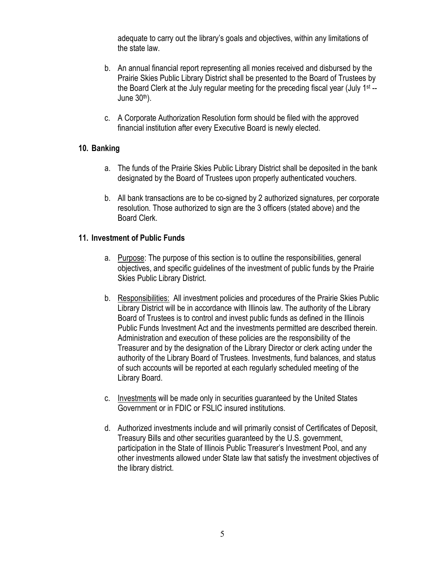adequate to carry out the library's goals and objectives, within any limitations of the state law.

- b. An annual financial report representing all monies received and disbursed by the Prairie Skies Public Library District shall be presented to the Board of Trustees by the Board Clerk at the July regular meeting for the preceding fiscal year (July 1st -- June  $30<sup>th</sup>$ ).
- c. A Corporate Authorization Resolution form should be filed with the approved financial institution after every Executive Board is newly elected.

#### **10. Banking**

- a. The funds of the Prairie Skies Public Library District shall be deposited in the bank designated by the Board of Trustees upon properly authenticated vouchers.
- b. All bank transactions are to be co-signed by 2 authorized signatures, per corporate resolution. Those authorized to sign are the 3 officers (stated above) and the Board Clerk.

#### **11. Investment of Public Funds**

- a. Purpose: The purpose of this section is to outline the responsibilities, general objectives, and specific guidelines of the investment of public funds by the Prairie Skies Public Library District.
- b. Responsibilities: All investment policies and procedures of the Prairie Skies Public Library District will be in accordance with Illinois law. The authority of the Library Board of Trustees is to control and invest public funds as defined in the Illinois Public Funds Investment Act and the investments permitted are described therein. Administration and execution of these policies are the responsibility of the Treasurer and by the designation of the Library Director or clerk acting under the authority of the Library Board of Trustees. Investments, fund balances, and status of such accounts will be reported at each regularly scheduled meeting of the Library Board.
- c. Investments will be made only in securities guaranteed by the United States Government or in FDIC or FSLIC insured institutions.
- d. Authorized investments include and will primarily consist of Certificates of Deposit, Treasury Bills and other securities guaranteed by the U.S. government, participation in the State of Illinois Public Treasurer's Investment Pool, and any other investments allowed under State law that satisfy the investment objectives of the library district.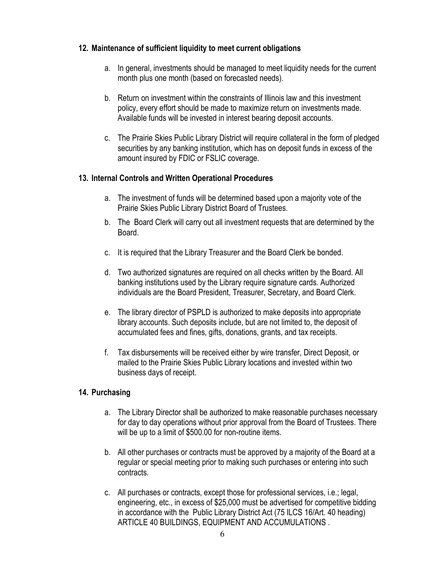### **12. Maintenance of sufficient liquidity to meet current obligations**

- a. In general, investments should be managed to meet liquidity needs for the current month plus one month (based on forecasted needs).
- b. Return on investment within the constraints of Illinois law and this investment policy, every effort should be made to maximize return on investments made. Available funds will be invested in interest bearing deposit accounts.
- c. The Prairie Skies Public Library District will require collateral in the form of pledged securities by any banking institution, which has on deposit funds in excess of the amount insured by FDIC or FSLIC coverage.

## **13. Internal Controls and Written Operational Procedures**

- a. The investment of funds will be determined based upon a majority vote of the Prairie Skies Public Library District Board of Trustees.
- b. The Board Clerk will carry out all investment requests that are determined by the Board.
- c. It is required that the Library Treasurer and the Board Clerk be bonded.
- d. Two authorized signatures are required on all checks written by the Board. All banking institutions used by the Library require signature cards. Authorized individuals are the Board President, Treasurer, Secretary, and Board Clerk.
- e. The library director of PSPLD is authorized to make deposits into appropriate library accounts. Such deposits include, but are not limited to, the deposit of accumulated fees and fines, gifts, donations, grants, and tax receipts.
- f. Tax disbursements will be received either by wire transfer, Direct Deposit, or mailed to the Prairie Skies Public Library locations and invested within two business days of receipt.

## **14. Purchasing**

- a. The Library Director shall be authorized to make reasonable purchases necessary for day to day operations without prior approval from the Board of Trustees. There will be up to a limit of \$500.00 for non-routine items.
- b. All other purchases or contracts must be approved by a majority of the Board at a regular or special meeting prior to making such purchases or entering into such contracts.
- c. All purchases or contracts, except those for professional services, i.e.; legal, engineering, etc., in excess of \$25,000 must be advertised for competitive bidding in accordance with the Public Library District Act (75 ILCS 16/Art. 40 heading) ARTICLE 40 BUILDINGS, EQUIPMENT AND ACCUMULATIONS .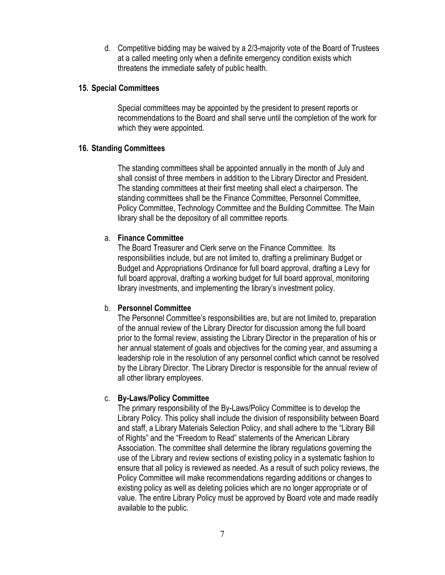d. Competitive bidding may be waived by a 2/3-majority vote of the Board of Trustees at a called meeting only when a definite emergency condition exists which threatens the immediate safety of public health.

#### **15. Special Committees**

Special committees may be appointed by the president to present reports or recommendations to the Board and shall serve until the completion of the work for which they were appointed.

#### **16. Standing Committees**

The standing committees shall be appointed annually in the month of July and shall consist of three members in addition to the Library Director and President. The standing committees at their first meeting shall elect a chairperson. The standing committees shall be the Finance Committee, Personnel Committee, Policy Committee, Technology Committee and the Building Committee. The Main library shall be the depository of all committee reports.

#### a. **Finance Committee**

The Board Treasurer and Clerk serve on the Finance Committee. Its responsibilities include, but are not limited to, drafting a preliminary Budget or Budget and Appropriations Ordinance for full board approval, drafting a Levy for full board approval, drafting a working budget for full board approval, monitoring library investments, and implementing the library's investment policy.

#### b. **Personnel Committee**

The Personnel Committee's responsibilities are, but are not limited to, preparation of the annual review of the Library Director for discussion among the full board prior to the formal review, assisting the Library Director in the preparation of his or her annual statement of goals and objectives for the coming year, and assuming a leadership role in the resolution of any personnel conflict which cannot be resolved by the Library Director. The Library Director is responsible for the annual review of all other library employees.

#### c. **By-Laws/Policy Committee**

The primary responsibility of the By-Laws/Policy Committee is to develop the Library Policy. This policy shall include the division of responsibility between Board and staff, a Library Materials Selection Policy, and shall adhere to the "Library Bill of Rights" and the "Freedom to Read" statements of the American Library Association. The committee shall determine the library regulations governing the use of the Library and review sections of existing policy in a systematic fashion to ensure that all policy is reviewed as needed. As a result of such policy reviews, the Policy Committee will make recommendations regarding additions or changes to existing policy as well as deleting policies which are no longer appropriate or of value. The entire Library Policy must be approved by Board vote and made readily available to the public.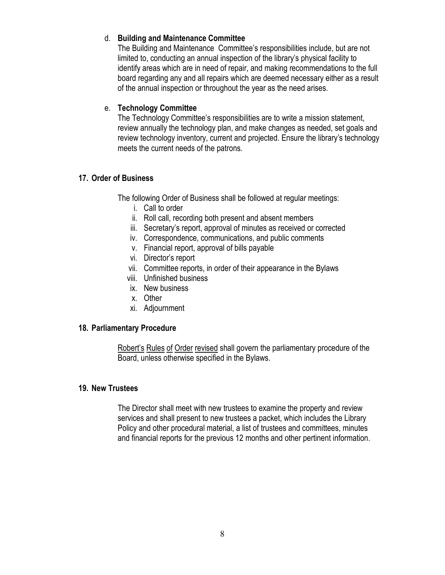### d. **Building and Maintenance Committee**

The Building and Maintenance Committee's responsibilities include, but are not limited to, conducting an annual inspection of the library's physical facility to identify areas which are in need of repair, and making recommendations to the full board regarding any and all repairs which are deemed necessary either as a result of the annual inspection or throughout the year as the need arises.

### e. **Technology Committee**

The Technology Committee's responsibilities are to write a mission statement, review annually the technology plan, and make changes as needed, set goals and review technology inventory, current and projected. Ensure the library's technology meets the current needs of the patrons.

## **17. Order of Business**

The following Order of Business shall be followed at regular meetings:

- i. Call to order
- ii. Roll call, recording both present and absent members
- iii. Secretary's report, approval of minutes as received or corrected
- iv. Correspondence, communications, and public comments
- v. Financial report, approval of bills payable
- vi. Director's report
- vii. Committee reports, in order of their appearance in the Bylaws
- viii. Unfinished business
- ix. New business
- x. Other
- xi. Adjournment

#### **18. Parliamentary Procedure**

Robert's Rules of Order revised shall govern the parliamentary procedure of the Board, unless otherwise specified in the Bylaws.

#### **19. New Trustees**

The Director shall meet with new trustees to examine the property and review services and shall present to new trustees a packet, which includes the Library Policy and other procedural material, a list of trustees and committees, minutes and financial reports for the previous 12 months and other pertinent information.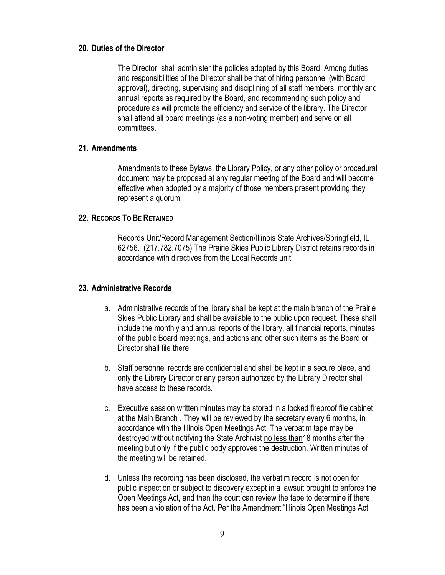#### **20. Duties of the Director**

The Director shall administer the policies adopted by this Board. Among duties and responsibilities of the Director shall be that of hiring personnel (with Board approval), directing, supervising and disciplining of all staff members, monthly and annual reports as required by the Board, and recommending such policy and procedure as will promote the efficiency and service of the library. The Director shall attend all board meetings (as a non-voting member) and serve on all committees.

#### **21. Amendments**

Amendments to these Bylaws, the Library Policy, or any other policy or procedural document may be proposed at any regular meeting of the Board and will become effective when adopted by a majority of those members present providing they represent a quorum.

#### **22. RECORDS TO BE RETAINED**

Records Unit/Record Management Section/Illinois State Archives/Springfield, IL 62756. (217.782.7075) The Prairie Skies Public Library District retains records in accordance with directives from the Local Records unit.

#### **23. Administrative Records**

- a. Administrative records of the library shall be kept at the main branch of the Prairie Skies Public Library and shall be available to the public upon request. These shall include the monthly and annual reports of the library, all financial reports, minutes of the public Board meetings, and actions and other such items as the Board or Director shall file there.
- b. Staff personnel records are confidential and shall be kept in a secure place, and only the Library Director or any person authorized by the Library Director shall have access to these records.
- c. Executive session written minutes may be stored in a locked fireproof file cabinet at the Main Branch . They will be reviewed by the secretary every 6 months, in accordance with the Illinois Open Meetings Act. The verbatim tape may be destroyed without notifying the State Archivist no less than18 months after the meeting but only if the public body approves the destruction. Written minutes of the meeting will be retained.
- d. Unless the recording has been disclosed, the verbatim record is not open for public inspection or subject to discovery except in a lawsuit brought to enforce the Open Meetings Act, and then the court can review the tape to determine if there has been a violation of the Act. Per the Amendment "Illinois Open Meetings Act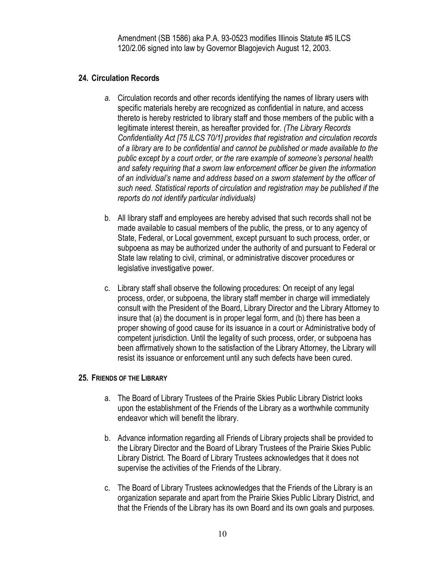Amendment (SB 1586) aka P.A. 93-0523 modifies Illinois Statute #5 ILCS 120/2.06 signed into law by Governor Blagojevich August 12, 2003.

## **24. Circulation Records**

- *a.* Circulation records and other records identifying the names of library users with specific materials hereby are recognized as confidential in nature, and access thereto is hereby restricted to library staff and those members of the public with a legitimate interest therein, as hereafter provided for. *(The Library Records Confidentiality Act [75 ILCS 70/1] provides that registration and circulation records of a library are to be confidential and cannot be published or made available to the public except by a court order, or the rare example of someone's personal health and safety requiring that a sworn law enforcement officer be given the information of an individual's name and address based on a sworn statement by the officer of such need. Statistical reports of circulation and registration may be published if the reports do not identify particular individuals)*
- b. All library staff and employees are hereby advised that such records shall not be made available to casual members of the public, the press, or to any agency of State, Federal, or Local government, except pursuant to such process, order, or subpoena as may be authorized under the authority of and pursuant to Federal or State law relating to civil, criminal, or administrative discover procedures or legislative investigative power.
- c. Library staff shall observe the following procedures: On receipt of any legal process, order, or subpoena, the library staff member in charge will immediately consult with the President of the Board, Library Director and the Library Attorney to insure that (a) the document is in proper legal form, and (b) there has been a proper showing of good cause for its issuance in a court or Administrative body of competent jurisdiction. Until the legality of such process, order, or subpoena has been affirmatively shown to the satisfaction of the Library Attorney, the Library will resist its issuance or enforcement until any such defects have been cured.

#### **25. FRIENDS OF THE LIBRARY**

- a. The Board of Library Trustees of the Prairie Skies Public Library District looks upon the establishment of the Friends of the Library as a worthwhile community endeavor which will benefit the library.
- b. Advance information regarding all Friends of Library projects shall be provided to the Library Director and the Board of Library Trustees of the Prairie Skies Public Library District. The Board of Library Trustees acknowledges that it does not supervise the activities of the Friends of the Library.
- c. The Board of Library Trustees acknowledges that the Friends of the Library is an organization separate and apart from the Prairie Skies Public Library District, and that the Friends of the Library has its own Board and its own goals and purposes.